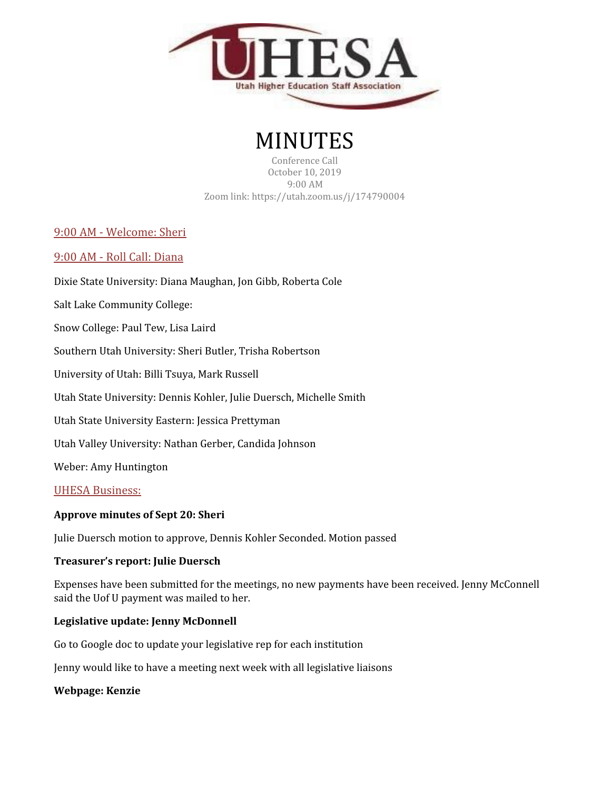

# MINUTES

Conference Call October 10, 2019 9:00 AM Zoom link: https://utah.zoom.us/j/174790004

9:00 AM - Welcome: Sheri

## 9:00 AM - Roll Call: Diana

Dixie State University: Diana Maughan, Jon Gibb, Roberta Cole

Salt Lake Community College:

Snow College: Paul Tew, Lisa Laird

Southern Utah University: Sheri Butler, Trisha Robertson

University of Utah: Billi Tsuya, Mark Russell

Utah State University: Dennis Kohler, Julie Duersch, Michelle Smith

Utah State University Eastern: Jessica Prettyman

Utah Valley University: Nathan Gerber, Candida Johnson

Weber: Amy Huntington

## UHESA Business:

## **Approve minutes of Sept 20: Sheri**

Julie Duersch motion to approve, Dennis Kohler Seconded. Motion passed

#### **Treasurer's report: Julie Duersch**

Expenses have been submitted for the meetings, no new payments have been received. Jenny McConnell said the Uof U payment was mailed to her.

#### **Legislative update: Jenny McDonnell**

Go to Google doc to update your legislative rep for each institution

Jenny would like to have a meeting next week with all legislative liaisons

#### **Webpage: Kenzie**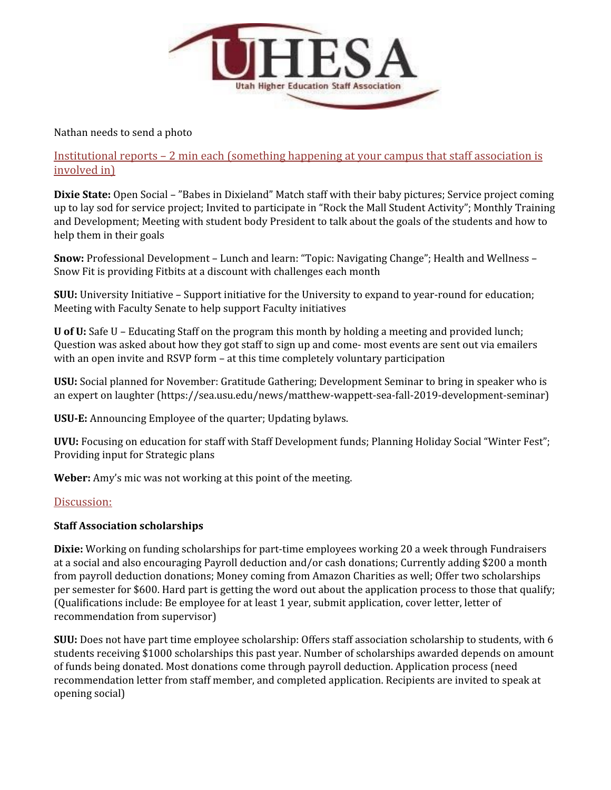

Nathan needs to send a photo

Institutional reports – 2 min each (something happening at your campus that staff association is involved in)

**Dixie State:** Open Social – "Babes in Dixieland" Match staff with their baby pictures; Service project coming up to lay sod for service project; Invited to participate in "Rock the Mall Student Activity"; Monthly Training and Development; Meeting with student body President to talk about the goals of the students and how to help them in their goals

**Snow:** Professional Development – Lunch and learn: "Topic: Navigating Change"; Health and Wellness – Snow Fit is providing Fitbits at a discount with challenges each month

**SUU:** University Initiative – Support initiative for the University to expand to year-round for education; Meeting with Faculty Senate to help support Faculty initiatives

**U of U:** Safe U – Educating Staff on the program this month by holding a meeting and provided lunch; Question was asked about how they got staff to sign up and come- most events are sent out via emailers with an open invite and RSVP form – at this time completely voluntary participation

**USU:** Social planned for November: Gratitude Gathering; Development Seminar to bring in speaker who is an expert on laughter (https://sea.usu.edu/news/matthew-wappett-sea-fall-2019-development-seminar)

**USU-E:** Announcing Employee of the quarter; Updating bylaws.

**UVU:** Focusing on education for staff with Staff Development funds; Planning Holiday Social "Winter Fest"; Providing input for Strategic plans

**Weber:** Amy's mic was not working at this point of the meeting.

## Discussion:

## **Staff Association scholarships**

**Dixie:** Working on funding scholarships for part-time employees working 20 a week through Fundraisers at a social and also encouraging Payroll deduction and/or cash donations; Currently adding \$200 a month from payroll deduction donations; Money coming from Amazon Charities as well; Offer two scholarships per semester for \$600. Hard part is getting the word out about the application process to those that qualify; (Qualifications include: Be employee for at least 1 year, submit application, cover letter, letter of recommendation from supervisor)

**SUU:** Does not have part time employee scholarship: Offers staff association scholarship to students, with 6 students receiving \$1000 scholarships this past year. Number of scholarships awarded depends on amount of funds being donated. Most donations come through payroll deduction. Application process (need recommendation letter from staff member, and completed application. Recipients are invited to speak at opening social)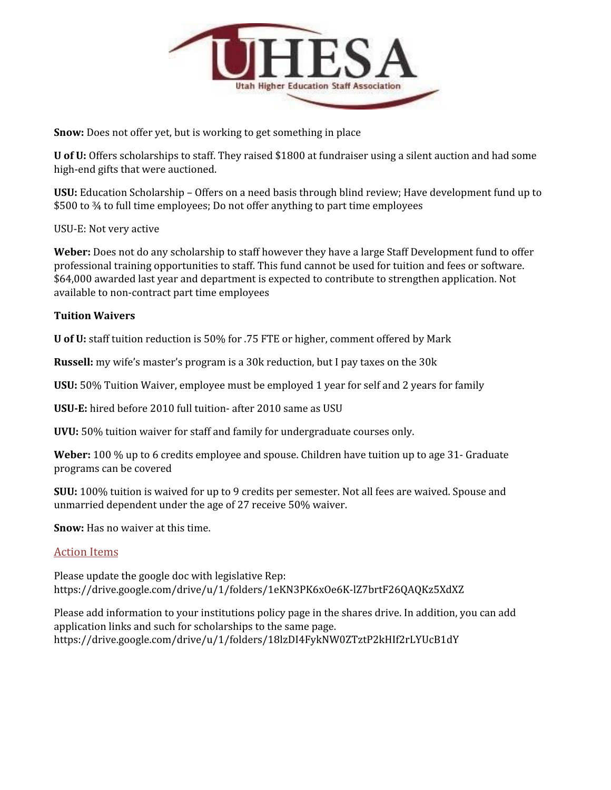

**Snow:** Does not offer yet, but is working to get something in place

**U of U:** Offers scholarships to staff. They raised \$1800 at fundraiser using a silent auction and had some high-end gifts that were auctioned.

**USU:** Education Scholarship – Offers on a need basis through blind review; Have development fund up to \$500 to  $\frac{3}{4}$  to full time employees; Do not offer anything to part time employees

USU-E: Not very active

**Weber:** Does not do any scholarship to staff however they have a large Staff Development fund to offer professional training opportunities to staff. This fund cannot be used for tuition and fees or software. \$64,000 awarded last year and department is expected to contribute to strengthen application. Not available to non-contract part time employees

## **Tuition Waivers**

**U of U:** staff tuition reduction is 50% for .75 FTE or higher, comment offered by Mark

**Russell:** my wife's master's program is a 30k reduction, but I pay taxes on the 30k

**USU:** 50% Tuition Waiver, employee must be employed 1 year for self and 2 years for family

**USU-E:** hired before 2010 full tuition- after 2010 same as USU

**UVU:** 50% tuition waiver for staff and family for undergraduate courses only.

**Weber:** 100 % up to 6 credits employee and spouse. Children have tuition up to age 31- Graduate programs can be covered

**SUU:** 100% tuition is waived for up to 9 credits per semester. Not all fees are waived. Spouse and unmarried dependent under the age of 27 receive 50% waiver.

**Snow:** Has no waiver at this time.

## Action Items

Please update the google doc with legislative Rep: https://drive.google.com/drive/u/1/folders/1eKN3PK6xOe6K-lZ7brtF26QAQKz5XdXZ

Please add information to your institutions policy page in the shares drive. In addition, you can add application links and such for scholarships to the same page. https://drive.google.com/drive/u/1/folders/18lzDI4FykNW0ZTztP2kHIf2rLYUcB1dY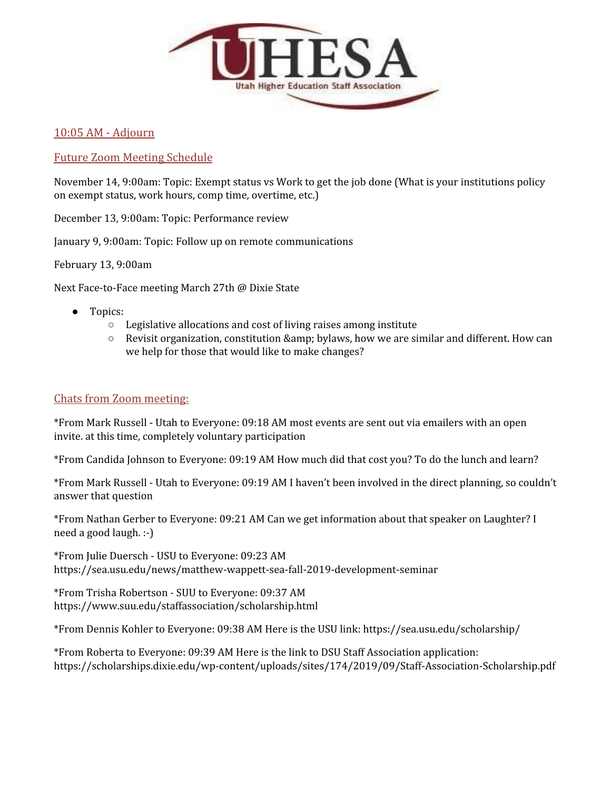

# 10:05 AM - Adjourn

# Future Zoom Meeting Schedule

November 14, 9:00am: Topic: Exempt status vs Work to get the job done (What is your institutions policy on exempt status, work hours, comp time, overtime, etc.)

December 13, 9:00am: Topic: Performance review

January 9, 9:00am: Topic: Follow up on remote communications

February 13, 9:00am

Next Face-to-Face meeting March 27th @ Dixie State

- Topics:
	- Legislative allocations and cost of living raises among institute
	- Revisit organization, constitution & amp; bylaws, how we are similar and different. How can we help for those that would like to make changes?

# Chats from Zoom meeting:

\*From Mark Russell - Utah to Everyone: 09:18 AM most events are sent out via emailers with an open invite. at this time, completely voluntary participation

\*From Candida Johnson to Everyone: 09:19 AM How much did that cost you? To do the lunch and learn?

\*From Mark Russell - Utah to Everyone: 09:19 AM I haven't been involved in the direct planning, so couldn't answer that question

\*From Nathan Gerber to Everyone: 09:21 AM Can we get information about that speaker on Laughter? I need a good laugh. :-)

\*From Julie Duersch - USU to Everyone: 09:23 AM https://sea.usu.edu/news/matthew-wappett-sea-fall-2019-development-seminar

\*From Trisha Robertson - SUU to Everyone: 09:37 AM https://www.suu.edu/staffassociation/scholarship.html

\*From Dennis Kohler to Everyone: 09:38 AM Here is the USU link: https://sea.usu.edu/scholarship/

\*From Roberta to Everyone: 09:39 AM Here is the link to DSU Staff Association application: https://scholarships.dixie.edu/wp-content/uploads/sites/174/2019/09/Staff-Association-Scholarship.pdf